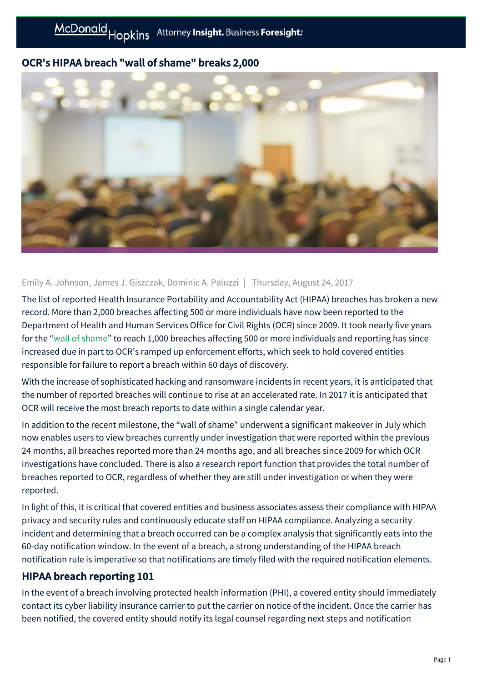# OCR's HIPAA breach "wall of shame" breaks 2,000



### Emily A. Johnson, James J. Giszczak, Dominic A. Paluzzi | Thursday, August 24, 2017

The list of reported Health Insurance Portability and Accountability Act (HIPAA) breaches has broken a new record. More than 2,000 breaches affecting 500 or more individuals have now been reported to the Department of Health and Human Services Office for Civil Rights (OCR) since 2009. It took nearly five years for the ["wall of shame"](https://ocrportal.hhs.gov/ocr/breach/breach_report.jsf) to reach 1,000 breaches affecting 500 or more individuals and reporting has since increased due in part to OCR's ramped up enforcement efforts, which seek to hold covered entities responsible for failure to report a breach within 60 days of discovery.

With the increase of sophisticated hacking and ransomware incidents in recent years, it is anticipated that the number of reported breaches will continue to rise at an accelerated rate. In 2017 it is anticipated that OCR will receive the most breach reports to date within a single calendar year.

In addition to the recent milestone, the "wall of shame" underwent a significant makeover in July which now enables users to view breaches currently under investigation that were reported within the previous 24 months, all breaches reported more than 24 months ago, and all breaches since 2009 for which OCR investigations have concluded. There is also a research report function that provides the total number of breaches reported to OCR, regardless of whether they are still under investigation or when they were reported.

In light of this, it is critical that covered entities and business associates assess their compliance with HIPAA privacy and security rules and continuously educate staff on HIPAA compliance. Analyzing a security incident and determining that a breach occurred can be a complex analysis that significantly eats into the 60-day notification window. In the event of a breach, a strong understanding of the HIPAA breach notification rule is imperative so that notifications are timely filed with the required notification elements.

# HIPAA breach reporting 101

In the event of a breach involving protected health information (PHI), a covered entity should immediately contact its cyber liability insurance carrier to put the carrier on notice of the incident. Once the carrier has been notified, the covered entity should notify its legal counsel regarding next steps and notification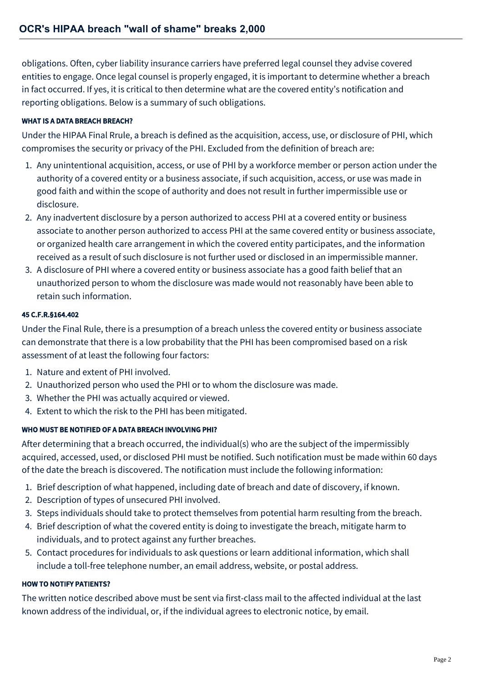obligations. Often, cyber liability insurance carriers have preferred legal counsel they advise covered entities to engage. Once legal counsel is properly engaged, it is important to determine whether a breach in fact occurred. If yes, it is critical to then determine what are the covered entity's notification and reporting obligations. Below is a summary of such obligations.

### WHAT IS A DATA BREACH BREACH?

Under the HIPAA Final Rrule, a breach is defined as the acquisition, access, use, or disclosure of PHI, which compromises the security or privacy of the PHI. Excluded from the definition of breach are:

- 1. Any unintentional acquisition, access, or use of PHI by a workforce member or person action under the authority of a covered entity or a business associate, if such acquisition, access, or use was made in good faith and within the scope of authority and does not result in further impermissible use or disclosure.
- 2. Any inadvertent disclosure by a person authorized to access PHI at a covered entity or business associate to another person authorized to access PHI at the same covered entity or business associate, or organized health care arrangement in which the covered entity participates, and the information received as a result of such disclosure is not further used or disclosed in an impermissible manner.
- 3. A disclosure of PHI where a covered entity or business associate has a good faith belief that an unauthorized person to whom the disclosure was made would not reasonably have been able to retain such information.

#### 45 C.F.R.§164.402

Under the Final Rule, there is a presumption of a breach unless the covered entity or business associate can demonstrate that there is a low probability that the PHI has been compromised based on a risk assessment of at least the following four factors:

- 1. Nature and extent of PHI involved.
- 2. Unauthorized person who used the PHI or to whom the disclosure was made.
- 3. Whether the PHI was actually acquired or viewed.
- 4. Extent to which the risk to the PHI has been mitigated.

#### WHO MUST BE NOTIFIED OF A DATA BREACH INVOLVING PHI?

After determining that a breach occurred, the individual(s) who are the subject of the impermissibly acquired, accessed, used, or disclosed PHI must be notified. Such notification must be made within 60 days of the date the breach is discovered. The notification must include the following information:

- 1. Brief description of what happened, including date of breach and date of discovery, if known.
- 2. Description of types of unsecured PHI involved.
- 3. Steps individuals should take to protect themselves from potential harm resulting from the breach.
- 4. Brief description of what the covered entity is doing to investigate the breach, mitigate harm to individuals, and to protect against any further breaches.
- 5. Contact procedures for individuals to ask questions or learn additional information, which shall include a toll-free telephone number, an email address, website, or postal address.

#### HOW TO NOTIFY PATIENTS?

The written notice described above must be sent via first-class mail to the affected individual at the last known address of the individual, or, if the individual agrees to electronic notice, by email.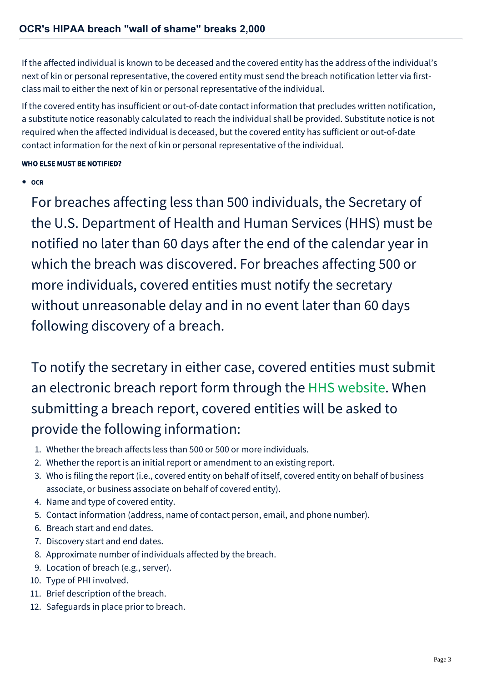If the affected individual is known to be deceased and the covered entity has the address of the individual's next of kin or personal representative, the covered entity must send the breach notification letter via firstclass mail to either the next of kin or personal representative of the individual.

If the covered entity has insufficient or out-of-date contact information that precludes written notification, a substitute notice reasonably calculated to reach the individual shall be provided. Substitute notice is not required when the affected individual is deceased, but the covered entity has sufficient or out-of-date contact information for the next of kin or personal representative of the individual.

### WHO ELSE MUST BE NOTIFIED?

**OCR** 

For breaches affecting less than 500 individuals, the Secretary of the U.S. Department of Health and Human Services (HHS) must be notified no later than 60 days after the end of the calendar year in which the breach was discovered. For breaches affecting 500 or more individuals, covered entities must notify the secretary without unreasonable delay and in no event later than 60 days following discovery of a breach.

To notify the secretary in either case, covered entities must submit an electronic breach report form through the [HHS website.](https://ocrportal.hhs.gov/ocr/breach/wizard_breach.jsf?faces-redirect=true) When submitting a breach report, covered entities will be asked to provide the following information:

- 1. Whether the breach affects less than 500 or 500 or more individuals.
- 2. Whether the report is an initial report or amendment to an existing report.
- 3. Who is filing the report (i.e., covered entity on behalf of itself, covered entity on behalf of business associate, or business associate on behalf of covered entity).
- 4. Name and type of covered entity.
- 5. Contact information (address, name of contact person, email, and phone number).
- 6. Breach start and end dates.
- 7. Discovery start and end dates.
- 8. Approximate number of individuals affected by the breach.
- 9. Location of breach (e.g., server).
- 10. Type of PHI involved.
- 11. Brief description of the breach.
- 12. Safeguards in place prior to breach.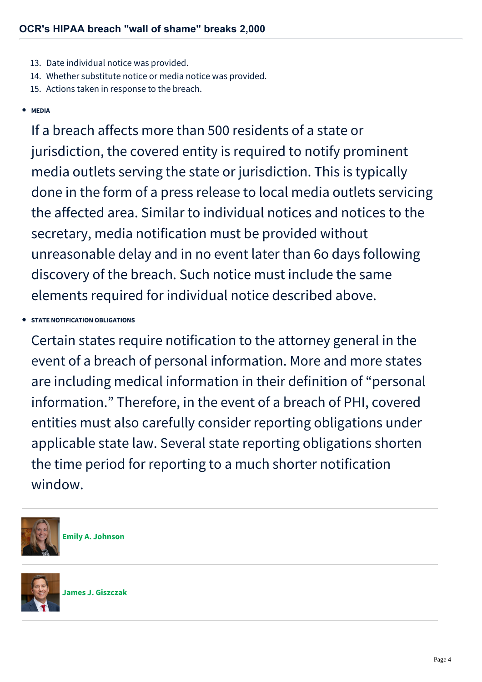- 13. Date individual notice was provided.
- 14. Whether substitute notice or media notice was provided.
- 15. Actions taken in response to the breach.

## **MEDIA**

If a breach affects more than 500 residents of a state or jurisdiction, the covered entity is required to notify prominent media outlets serving the state or jurisdiction. This is typically done in the form of a press release to local media outlets servicing the affected area. Similar to individual notices and notices to the secretary, media notification must be provided without unreasonable delay and in no event later than 6o days following discovery of the breach. Such notice must include the same elements required for individual notice described above.

# **STATE NOTIFICATION OBLIGATIONS**

Certain states require notification to the attorney general in the event of a breach of personal information. More and more states are including medical information in their definition of "personal information." Therefore, in the event of a breach of PHI, covered entities must also carefully consider reporting obligations under applicable state law. Several state reporting obligations shorten the time period for reporting to a much shorter notification window.



**[Emily A. Johnson](https://mcdonaldhopkins.com/Team/Attorney/e/Emily-Johnson)**